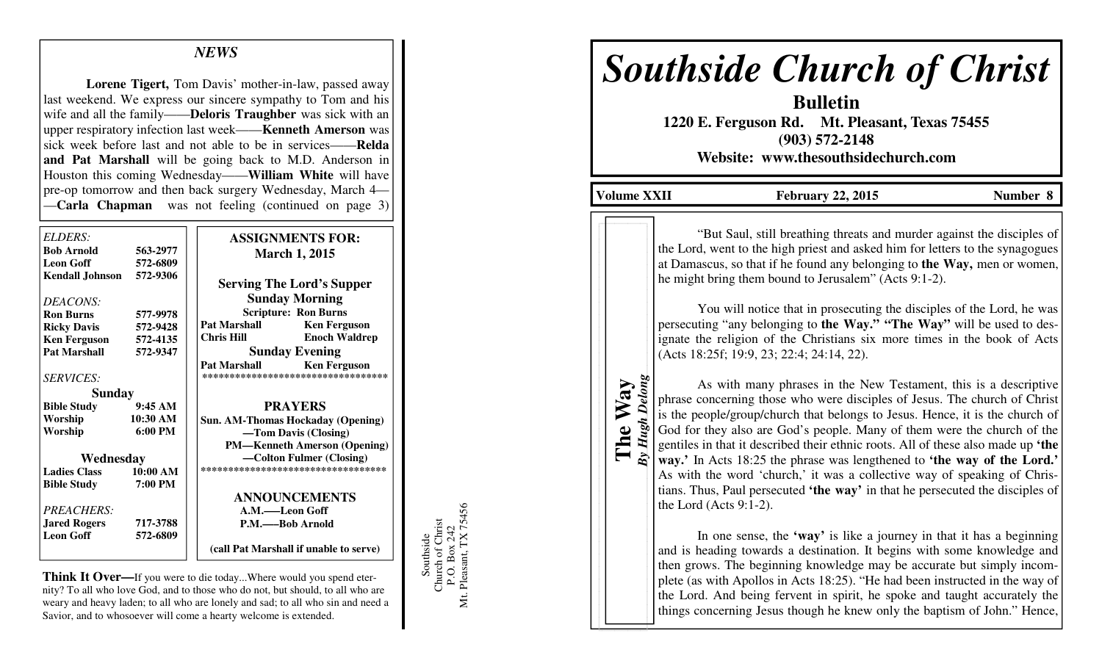## *NEWS*

**Lorene Tigert,** Tom Davis' mother-in-law, passed away last weekend. We express our sincere sympathy to Tom and his wife and all the family——**Deloris Traughber** was sick with an upper respiratory infection last week——**Kenneth Amerson** was sick week before last and not able to be in services——**Relda and Pat Marshall** will be going back to M.D. Anderson in Houston this coming Wednesday——**William White** will have pre-op tomorrow and then back surgery Wednesday, March 4——**Carla Chapman** was not feeling (continued on page 3)

| ELDERS:                  |                     | <b>ASSIGNMENTS FOR:</b>                |                                    |
|--------------------------|---------------------|----------------------------------------|------------------------------------|
| <b>Bob Arnold</b>        | 563-2977            | <b>March 1, 2015</b>                   |                                    |
| <b>Leon Goff</b>         | 572-6809            |                                        |                                    |
| Kendall Johnson 572-9306 |                     | <b>Serving The Lord's Supper</b>       |                                    |
| DEACONS:                 |                     | <b>Sunday Morning</b>                  |                                    |
| <b>Ron Burns</b>         | 577-9978            | <b>Scripture: Ron Burns</b>            |                                    |
| <b>Ricky Davis</b>       | 572-9428            | <b>Pat Marshall</b>                    | <b>Ken Ferguson</b>                |
| <b>Ken Ferguson</b>      | 572-4135            | Chris Hill                             | <b>Enoch Waldrep</b>               |
| <b>Pat Marshall</b>      | 572-9347            | <b>Sunday Evening</b>                  |                                    |
|                          |                     | <b>Pat Marshall</b>                    | <b>Ken Ferguson</b>                |
| <b>SERVICES:</b>         |                     |                                        | ********************************** |
| <b>Sunday</b>            |                     |                                        |                                    |
| <b>Bible Study</b>       | 9:45AM              | <b>PRAYERS</b>                         |                                    |
| Worship                  | 10:30 AM            | Sun. AM-Thomas Hockaday (Opening)      |                                    |
| Worship                  | 6:00 PM             | -Tom Davis (Closing)                   |                                    |
|                          |                     | <b>PM—Kenneth Amerson (Opening)</b>    |                                    |
| Wednesday                |                     | —Colton Fulmer (Closing)               |                                    |
| <b>Ladies Class</b>      | $10:00~\mathrm{AM}$ | ***********************************    |                                    |
| <b>Bible Study</b>       | 7:00 PM             |                                        |                                    |
|                          |                     |                                        | <b>ANNOUNCEMENTS</b>               |
| <b>PREACHERS:</b>        |                     | A.M.——Leon Goff                        |                                    |
| <b>Jared Rogers</b>      | 717-3788            | P.M.—Bob Arnold                        |                                    |
| <b>Leon Goff</b>         | 572-6809            |                                        |                                    |
|                          |                     | (call Pat Marshall if unable to serve) |                                    |

**Think It Over—**If you were to die today...Where would you spend eternity? To all who love God, and to those who do not, but should, to all who are weary and heavy laden; to all who are lonely and sad; to all who sin and need a Savior, and to whosoever will come a hearty welcome is extended.

Southside<br>Church of Christ<br>P.O. Box 242<br>Mt. Pleasant, TX 75456 Mt. Pleasant, TX 75456 Church of Christ P.O. Box 242 Southside

# *Southside Church of Christ*

**Bulletin 1220 E. Ferguson Rd. Mt. Pleasant, Texas 75455 (903) 572-2148 Website: www.thesouthsidechurch.com** 

Volume XXII February 22, 2015 Number 8

*By Hugh Delong* By Hugh Delong **The Way** 

"But Saul, still breathing threats and murder against the disciples of the Lord, went to the high priest and asked him for letters to the synagogues at Damascus, so that if he found any belonging to **the Way,** men or women, he might bring them bound to Jerusalem" (Acts 9:1-2).

 You will notice that in prosecuting the disciples of the Lord, he was persecuting "any belonging to **the Way." "The Way"** will be used to designate the religion of the Christians six more times in the book of Acts (Acts 18:25f; 19:9, 23; 22:4; 24:14, 22).

 As with many phrases in the New Testament, this is a descriptive phrase concerning those who were disciples of Jesus. The church of Christ is the people/group/church that belongs to Jesus. Hence, it is the church of God for they also are God's people. Many of them were the church of the gentiles in that it described their ethnic roots. All of these also made up **'the way.'** In Acts 18:25 the phrase was lengthened to **'the way of the Lord.'** As with the word 'church,' it was a collective way of speaking of Christians. Thus, Paul persecuted **'the way'** in that he persecuted the disciples of the Lord (Acts 9:1-2).

 In one sense, the **'way'** is like a journey in that it has a beginning and is heading towards a destination. It begins with some knowledge and then grows. The beginning knowledge may be accurate but simply incomplete (as with Apollos in Acts 18:25). "He had been instructed in the way of the Lord. And being fervent in spirit, he spoke and taught accurately the things concerning Jesus though he knew only the baptism of John." Hence,